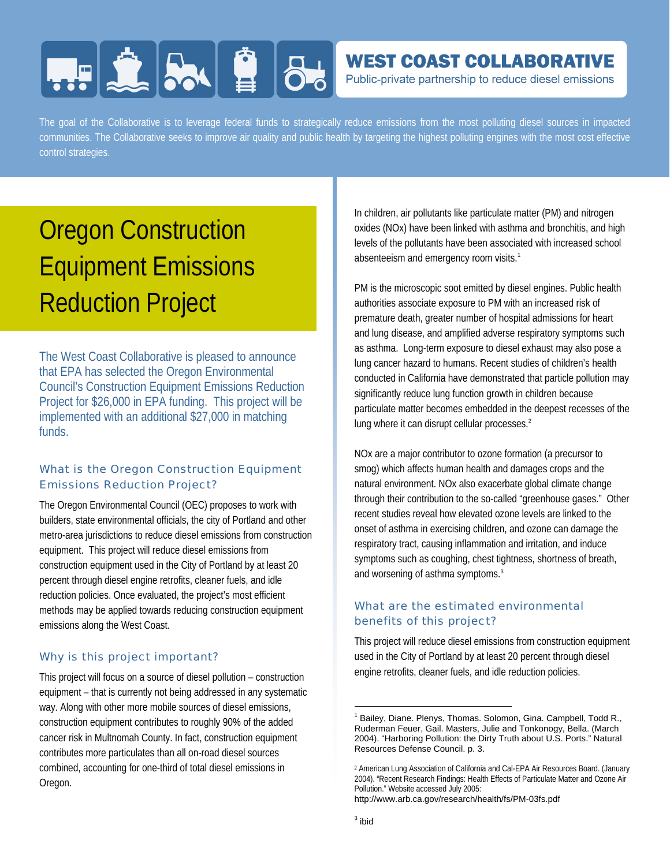# **HERE AND BU**

### **WEST COAST COLLABORATIVE**

Public-private partnership to reduce diesel emissions

The goal of the Collaborative is to leverage federal funds to strategically reduce emissions from the most polluting diesel sources in impacted communities. The Collaborative seeks to improve air quality and public health by targeting the highest polluting engines with the most cost effective control strategies.

## Oregon Construction Equipment Emissions Reduction Project

The West Coast Collaborative is pleased to announce that EPA has selected the Oregon Environmental Council's Construction Equipment Emissions Reduction Project for \$26,000 in EPA funding. This project will be implemented with an additional \$27,000 in matching funds.

#### What is the Oregon Construction Equipment Emissions Reduction Project?

The Oregon Environmental Council (OEC) proposes to work with builders, state environmental officials, the city of Portland and other metro-area jurisdictions to reduce diesel emissions from construction equipment. This project will reduce diesel emissions from construction equipment used in the City of Portland by at least 20 percent through diesel engine retrofits, cleaner fuels, and idle reduction policies. Once evaluated, the project's most efficient methods may be applied towards reducing construction equipment emissions along the West Coast.

#### Why is this project important?

This project will focus on a source of diesel pollution – construction equipment – that is currently not being addressed in any systematic way. Along with other more mobile sources of diesel emissions, construction equipment contributes to roughly 90% of the added cancer risk in Multnomah County. In fact, construction equipment contributes more particulates than all on-road diesel sources combined, accounting for one-third of total diesel emissions in Oregon.

In children, air pollutants like particulate matter (PM) and nitrogen oxides (NOx) have been linked with asthma and bronchitis, and high levels of the pollutants have been associated with increased school absenteeism and emergency room visits.<sup>1</sup>

PM is the microscopic soot emitted by diesel engines. Public health authorities associate exposure to PM with an increased risk of premature death, greater number of hospital admissions for heart and lung disease, and amplified adverse respiratory symptoms such as asthma. Long-term exposure to diesel exhaust may also pose a lung cancer hazard to humans. Recent studies of children's health conducted in California have demonstrated that particle pollution may significantly reduce lung function growth in children because particulate matter becomes embedded in the deepest recesses of the lung where it can disrupt cellular processes.<sup>2</sup>

NOx are a major contributor to ozone formation (a precursor to smog) which affects human health and damages crops and the natural environment. NOx also exacerbate global climate change through their contribution to the so-called "greenhouse gases." Other recent studies reveal how elevated ozone levels are linked to the onset of asthma in exercising children, and ozone can damage the respiratory tract, causing inflammation and irritation, and induce symptoms such as coughing, chest tightness, shortness of breath, and worsening of asthma symptoms.<sup>3</sup>

#### What are the estimated environmental benefits of this project?

This project will reduce diesel emissions from construction equipment used in the City of Portland by at least 20 percent through diesel engine retrofits, cleaner fuels, and idle reduction policies.

http://www.arb.ca.gov/research/health/fs/PM-03fs.pdf

 $\overline{\phantom{a}}$ 

<sup>&</sup>lt;sup>1</sup> Bailey, Diane. Plenys, Thomas. Solomon, Gina. Campbell, Todd R., Ruderman Feuer, Gail. Masters, Julie and Tonkonogy, Bella. (March 2004). "Harboring Pollution: the Dirty Truth about U.S. Ports." Natural Resources Defense Council. p. 3.

<sup>2</sup> American Lung Association of California and Cal-EPA Air Resources Board. (January 2004). "Recent Research Findings: Health Effects of Particulate Matter and Ozone Air Pollution." Website accessed July 2005: